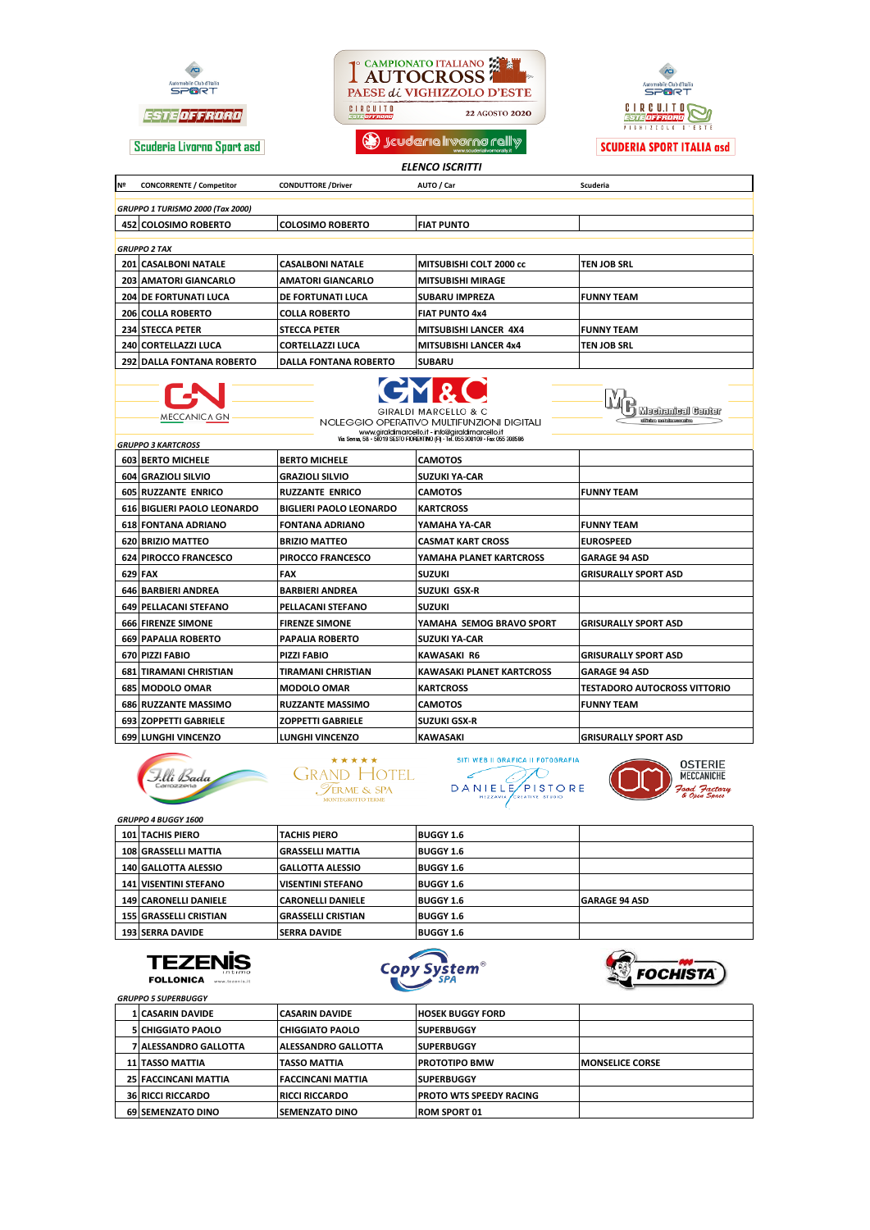



Automobile Club d'Itali<br>SP<sup>6</sup>RT  $\begin{picture}(180,10) \put(0,0){\line(1,0){100}} \put(10,0){\line(1,0){100}} \put(10,0){\line(1,0){100}} \put(10,0){\line(1,0){100}} \put(10,0){\line(1,0){100}} \put(10,0){\line(1,0){100}} \put(10,0){\line(1,0){100}} \put(10,0){\line(1,0){100}} \put(10,0){\line(1,0){100}} \put(10,0){\line(1,0){100}} \put(10,0){\line(1,0){100}}$ **SCUDERIA SPORT ITALIA asd** 

| <b>ELENCO ISCRITTI</b>    |  |  |
|---------------------------|--|--|
| <b>CONDUTTORE /Driver</b> |  |  |

| GRUPPO 1 TURISMO 2000 (Tax 2000)                                                                                                                                                                                                                                          |                                |                              |                                     |  |  |  |
|---------------------------------------------------------------------------------------------------------------------------------------------------------------------------------------------------------------------------------------------------------------------------|--------------------------------|------------------------------|-------------------------------------|--|--|--|
| <b>452 COLOSIMO ROBERTO</b>                                                                                                                                                                                                                                               | <b>COLOSIMO ROBERTO</b>        | <b>FIAT PUNTO</b>            |                                     |  |  |  |
|                                                                                                                                                                                                                                                                           |                                |                              |                                     |  |  |  |
| <b>GRUPPO 2 TAX</b>                                                                                                                                                                                                                                                       |                                |                              |                                     |  |  |  |
| <b>201 CASALBONI NATALE</b>                                                                                                                                                                                                                                               | <b>CASALBONI NATALE</b>        | MITSUBISHI COLT 2000 cc      | <b>TEN JOB SRL</b>                  |  |  |  |
| <b>203 AMATORI GIANCARLO</b>                                                                                                                                                                                                                                              | <b>AMATORI GIANCARLO</b>       | <b>MITSUBISHI MIRAGE</b>     |                                     |  |  |  |
| <b>204 DE FORTUNATI LUCA</b>                                                                                                                                                                                                                                              | DE FORTUNATI LUCA              | <b>SUBARU IMPREZA</b>        | <b>FUNNY TEAM</b>                   |  |  |  |
| <b>COLLA ROBERTO</b><br>206                                                                                                                                                                                                                                               | <b>COLLA ROBERTO</b>           | <b>FIAT PUNTO 4x4</b>        |                                     |  |  |  |
| <b>234 STECCA PETER</b>                                                                                                                                                                                                                                                   | <b>STECCA PETER</b>            | MITSUBISHI LANCER 4X4        | <b>FUNNY TEAM</b>                   |  |  |  |
| 240 CORTELLAZZI LUCA                                                                                                                                                                                                                                                      | <b>CORTELLAZZI LUCA</b>        | <b>MITSUBISHI LANCER 4x4</b> | <b>TEN JOB SRL</b>                  |  |  |  |
| 292 DALLA FONTANA ROBERTO                                                                                                                                                                                                                                                 | <b>DALLA FONTANA ROBERTO</b>   | <b>SUBARU</b>                |                                     |  |  |  |
| Meehanteal Center<br>GIRALDI MARCELLO & C<br><b>MECCANICA GN</b><br>edina matrimorembo<br>NOLEGGIO OPERATIVO MULTIFUNZIONI DIGITALI<br>www.giralclimarcello.it - info@giralclimarcello.it<br>Va Senna, 58 - 50019 SESTO FIORENTINO (F) - Tel. 055 308109 - Fax 065 308586 |                                |                              |                                     |  |  |  |
| <b>GRUPPO 3 KARTCROSS</b>                                                                                                                                                                                                                                                 |                                |                              |                                     |  |  |  |
| 603<br><b>IBERTO MICHELE</b>                                                                                                                                                                                                                                              | <b>BERTO MICHELE</b>           | <b>CAMOTOS</b>               |                                     |  |  |  |
| 604<br><b>IGRAZIOLI SILVIO</b>                                                                                                                                                                                                                                            | <b>GRAZIOLI SILVIO</b>         | <b>SUZUKI YA-CAR</b>         |                                     |  |  |  |
| 605 RUZZANTE ENRICO                                                                                                                                                                                                                                                       | <b>RUZZANTE ENRICO</b>         | <b>CAMOTOS</b>               | <b>FUNNY TEAM</b>                   |  |  |  |
| 616 BIGLIERI PAOLO LEONARDO                                                                                                                                                                                                                                               | <b>BIGLIERI PAOLO LEONARDO</b> | <b>KARTCROSS</b>             |                                     |  |  |  |
| <b>FONTANA ADRIANO</b><br>618                                                                                                                                                                                                                                             | <b>FONTANA ADRIANO</b>         | YAMAHA YA-CAR                | <b>FUNNY TEAM</b>                   |  |  |  |
| 620<br><b>BRIZIO MATTEO</b>                                                                                                                                                                                                                                               | <b>BRIZIO MATTEO</b>           | CASMAT KART CROSS            | <b>EUROSPEED</b>                    |  |  |  |
| <b>624 PIROCCO FRANCESCO</b>                                                                                                                                                                                                                                              | PIROCCO FRANCESCO              | YAMAHA PLANET KARTCROSS      | <b>GARAGE 94 ASD</b>                |  |  |  |
| <b>629 FAX</b>                                                                                                                                                                                                                                                            | <b>FAX</b>                     | <b>SUZUKI</b>                | <b>GRISURALLY SPORT ASD</b>         |  |  |  |
| IBARBIERI ANDREA<br>646                                                                                                                                                                                                                                                   | <b>BARBIERI ANDREA</b>         | <b>SUZUKI GSX-R</b>          |                                     |  |  |  |
| 649<br>PELLACANI STEFANO                                                                                                                                                                                                                                                  | PELLACANI STEFANO              | <b>SUZUKI</b>                |                                     |  |  |  |
| <b>FIRENZE SIMONE</b><br>666                                                                                                                                                                                                                                              | <b>FIRENZE SIMONE</b>          | YAMAHA  SEMOG BRAVO SPORT    | <b>GRISURALLY SPORT ASD</b>         |  |  |  |
| <b>IPAPALIA ROBERTO</b><br>669                                                                                                                                                                                                                                            | <b>PAPALIA ROBERTO</b>         | <b>SUZUKI YA-CAR</b>         |                                     |  |  |  |
| 670 PIZZI FABIO                                                                                                                                                                                                                                                           | <b>PIZZI FABIO</b>             | KAWASAKI R6                  | <b>GRISURALLY SPORT ASD</b>         |  |  |  |
| I TIRAMANI CHRISTIAN<br>681                                                                                                                                                                                                                                               | <b>TIRAMANI CHRISTIAN</b>      | KAWASAKI PLANET KARTCROSS    | <b>GARAGE 94 ASD</b>                |  |  |  |
| 685<br><b>MODOLO OMAR</b>                                                                                                                                                                                                                                                 | <b>MODOLO OMAR</b>             | <b>KARTCROSS</b>             | <b>TESTADORO AUTOCROSS VITTORIO</b> |  |  |  |
| 686 RUZZANTE MASSIMO                                                                                                                                                                                                                                                      | <b>RUZZANTE MASSIMO</b>        | <b>CAMOTOS</b>               | <b>FUNNY TEAM</b>                   |  |  |  |
| 693 ZOPPETTI GABRIELE                                                                                                                                                                                                                                                     | <b>ZOPPETTI GABRIELE</b>       | <b>SUZUKI GSX-R</b>          |                                     |  |  |  |
| <b>699 LUNGHI VINCENZO</b>                                                                                                                                                                                                                                                | <b>LUNGHI VINCENZO</b>         | <b>KAWASAKI</b>              | <b>GRISURALLY SPORT ASD</b>         |  |  |  |











*GRUPPO 4 BUGGY 1600* **TACHIS PIERO TACHIS PIERO BUGGY 1.6 GRASSELLI MATTIA GRASSELLI MATTIA BUGGY 1.6 GALLOTTA ALESSIO GALLOTTA ALESSIO BUGGY 1.6 VISENTINI STEFANO VISENTINI STEFANO BUGGY 1.6 CARONELLI DANIELE CARONELLI DANIELE BUGGY 1.6 GARAGE 94 ASD GRASSELLI CRISTIAN GRASSELLI CRISTIAN BUGGY 1.6 SERRA DAVIDE SERRA DAVIDE BUGGY 1.6**







| GRUPPO 5 SUPERBUGGY |                             |                           |                                 |                         |  |  |
|---------------------|-----------------------------|---------------------------|---------------------------------|-------------------------|--|--|
|                     | <b>1 CASARIN DAVIDE</b>     | <b>CASARIN DAVIDE</b>     | IHOSEK BUGGY FORD               |                         |  |  |
|                     | <b>5 CHIGGIATO PAOLO</b>    | <b>ICHIGGIATO PAOLO</b>   | <b>ISUPERBUGGY</b>              |                         |  |  |
|                     | 7 ALESSANDRO GALLOTTA       | IALESSANDRO GALLOTTA      | <b>ISUPERBUGGY</b>              |                         |  |  |
|                     | 11 TASSO MATTIA             | <b>TASSO MATTIA</b>       | <b>PROTOTIPO BMW</b>            | <b>IMONSELICE CORSE</b> |  |  |
|                     | <b>25 FACCINCANI MATTIA</b> | <b>IFACCINCANI MATTIA</b> | <b>ISUPERBUGGY</b>              |                         |  |  |
|                     | <b>36 RICCI RICCARDO</b>    | <b>IRICCI RICCARDO</b>    | <b>IPROTO WTS SPEEDY RACING</b> |                         |  |  |
|                     | <b>69 SEMENZATO DINO</b>    | <b>ISEMENZATO DINO</b>    | <b>ROM SPORT 01</b>             |                         |  |  |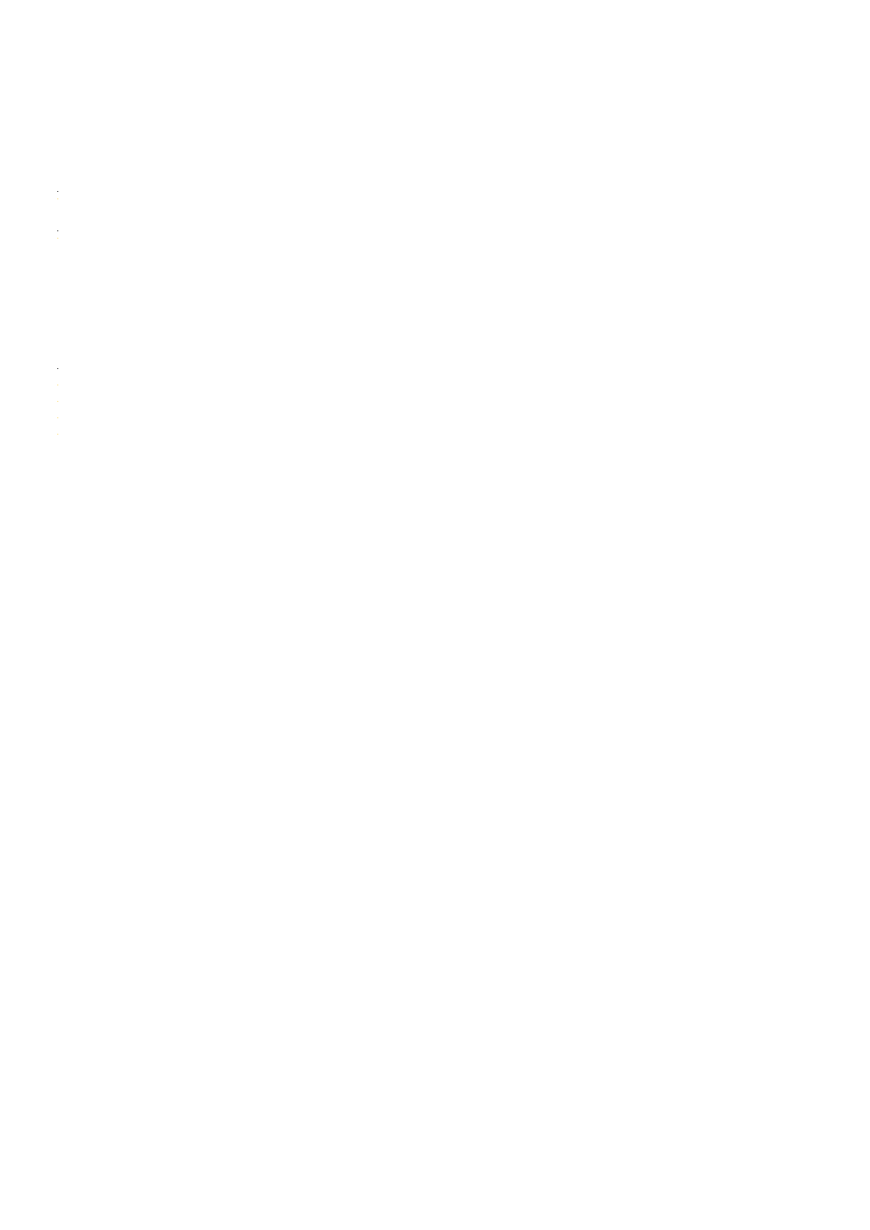- $\label{eq:2.1} \frac{1}{2} \sum_{i=1}^n \frac{1}{2} \sum_{j=1}^n \frac{1}{2} \sum_{j=1}^n \frac{1}{2} \sum_{j=1}^n \frac{1}{2} \sum_{j=1}^n \frac{1}{2} \sum_{j=1}^n \frac{1}{2} \sum_{j=1}^n \frac{1}{2} \sum_{j=1}^n \frac{1}{2} \sum_{j=1}^n \frac{1}{2} \sum_{j=1}^n \frac{1}{2} \sum_{j=1}^n \frac{1}{2} \sum_{j=1}^n \frac{1}{2} \sum_{j=1}^n \frac{$  $\label{eq:2.1} \frac{1}{2} \int_{\mathbb{R}^3} \left| \frac{d\mathbf{r}}{d\mathbf{r}} \right|^2 \, d\mathbf{r} \, d\mathbf{r}$ 
	-
- -